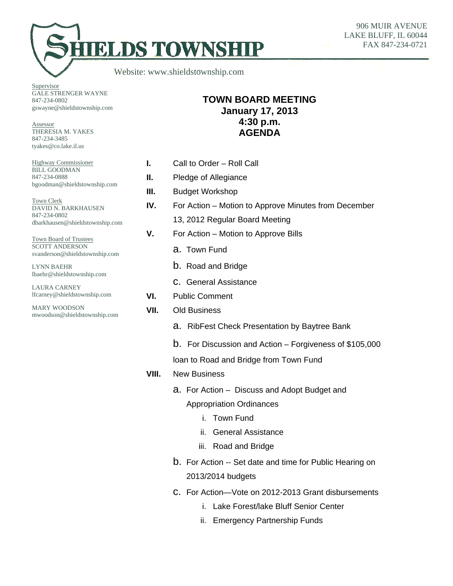906 MUIR AVENUE LAKE BLUFF, IL 60044 FAX 847-234-0721

Website: www.shieldstownship.com

**HELDS TOWNSHI** 

**Supervisor** GALE STRENGER WAYNE 847-234-0802 gswayne@shieldstownship.com

Assessor THERESIA M. YAKES 847-234-3485 tyakes@co.lake.il.us

Highway Commissioner BILL GOODMAN 847-234-0888 bgoodman@shieldstownship.com

Town Clerk DAVID N. BARKHAUSEN 847-234-0802 dbarkhausen@shieldstownship.com

Town Board of Trustees SCOTT ANDERSON svanderson@shieldstownship.com

LYNN BAEHR lbaehr@shieldstownship.com

LAURA CARNEY lfcarney@shieldstownship.com

MARY WOODSON mwoodson@shieldstownship.com

## **TOWN BOARD MEETING January 17, 2013 4:30 p.m. AGENDA**

- **I.** Call to Order Roll Call
- **II.** Pledge of Allegiance
- **III.** Budget Workshop
- **IV.** For Action Motion to Approve Minutes from December 13, 2012 Regular Board Meeting
- **V.** For Action Motion to Approve Bills
	- a. Town Fund
	- b. Road and Bridge
	- c. General Assistance
- **VI.** Public Comment
- **VII.** Old Business
	- a. RibFest Check Presentation by Baytree Bank
	- b. For Discussion and Action Forgiveness of \$105,000

loan to Road and Bridge from Town Fund

- **VIII.** New Business
	- a. For Action Discuss and Adopt Budget and Appropriation Ordinances
		- i. Town Fund
		- ii. General Assistance
		- iii. Road and Bridge
	- b. For Action -- Set date and time for Public Hearing on 2013/2014 budgets
	- c. For Action—Vote on 2012-2013 Grant disbursements
		- i. Lake Forest/lake Bluff Senior Center
		- ii. Emergency Partnership Funds